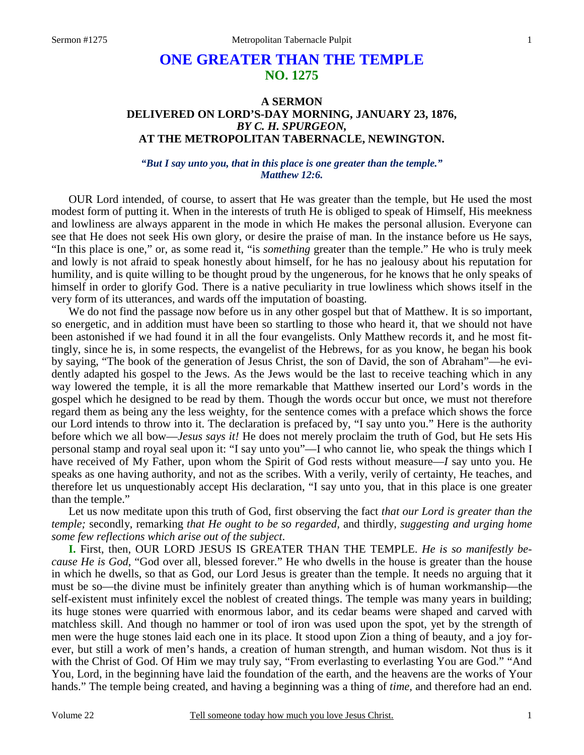# **ONE GREATER THAN THE TEMPLE NO. 1275**

## **A SERMON DELIVERED ON LORD'S-DAY MORNING, JANUARY 23, 1876,**  *BY C. H. SPURGEON,*  **AT THE METROPOLITAN TABERNACLE, NEWINGTON.**

*"But I say unto you, that in this place is one greater than the temple." Matthew 12:6.* 

OUR Lord intended, of course, to assert that He was greater than the temple, but He used the most modest form of putting it. When in the interests of truth He is obliged to speak of Himself, His meekness and lowliness are always apparent in the mode in which He makes the personal allusion. Everyone can see that He does not seek His own glory, or desire the praise of man. In the instance before us He says, "In this place is one," or, as some read it, "is *something* greater than the temple." He who is truly meek and lowly is not afraid to speak honestly about himself, for he has no jealousy about his reputation for humility, and is quite willing to be thought proud by the ungenerous, for he knows that he only speaks of himself in order to glorify God. There is a native peculiarity in true lowliness which shows itself in the very form of its utterances, and wards off the imputation of boasting.

We do not find the passage now before us in any other gospel but that of Matthew. It is so important, so energetic, and in addition must have been so startling to those who heard it, that we should not have been astonished if we had found it in all the four evangelists. Only Matthew records it, and he most fittingly, since he is, in some respects, the evangelist of the Hebrews, for as you know, he began his book by saying, "The book of the generation of Jesus Christ, the son of David, the son of Abraham"—he evidently adapted his gospel to the Jews. As the Jews would be the last to receive teaching which in any way lowered the temple, it is all the more remarkable that Matthew inserted our Lord's words in the gospel which he designed to be read by them. Though the words occur but once, we must not therefore regard them as being any the less weighty, for the sentence comes with a preface which shows the force our Lord intends to throw into it. The declaration is prefaced by, "I say unto you." Here is the authority before which we all bow—*Jesus says it!* He does not merely proclaim the truth of God, but He sets His personal stamp and royal seal upon it: "I say unto you"—I who cannot lie, who speak the things which I have received of My Father, upon whom the Spirit of God rests without measure—*I* say unto you. He speaks as one having authority, and not as the scribes. With a verily, verily of certainty, He teaches, and therefore let us unquestionably accept His declaration, "I say unto you, that in this place is one greater than the temple."

Let us now meditate upon this truth of God, first observing the fact *that our Lord is greater than the temple;* secondly, remarking *that He ought to be so regarded,* and thirdly*, suggesting and urging home some few reflections which arise out of the subject*.

**I.** First, then, OUR LORD JESUS IS GREATER THAN THE TEMPLE. *He is so manifestly because He is God*, "God over all, blessed forever." He who dwells in the house is greater than the house in which he dwells, so that as God, our Lord Jesus is greater than the temple. It needs no arguing that it must be so—the divine must be infinitely greater than anything which is of human workmanship—the self-existent must infinitely excel the noblest of created things. The temple was many years in building; its huge stones were quarried with enormous labor, and its cedar beams were shaped and carved with matchless skill. And though no hammer or tool of iron was used upon the spot, yet by the strength of men were the huge stones laid each one in its place. It stood upon Zion a thing of beauty, and a joy forever, but still a work of men's hands, a creation of human strength, and human wisdom. Not thus is it with the Christ of God. Of Him we may truly say, "From everlasting to everlasting You are God." "And You, Lord, in the beginning have laid the foundation of the earth, and the heavens are the works of Your hands." The temple being created, and having a beginning was a thing of *time,* and therefore had an end.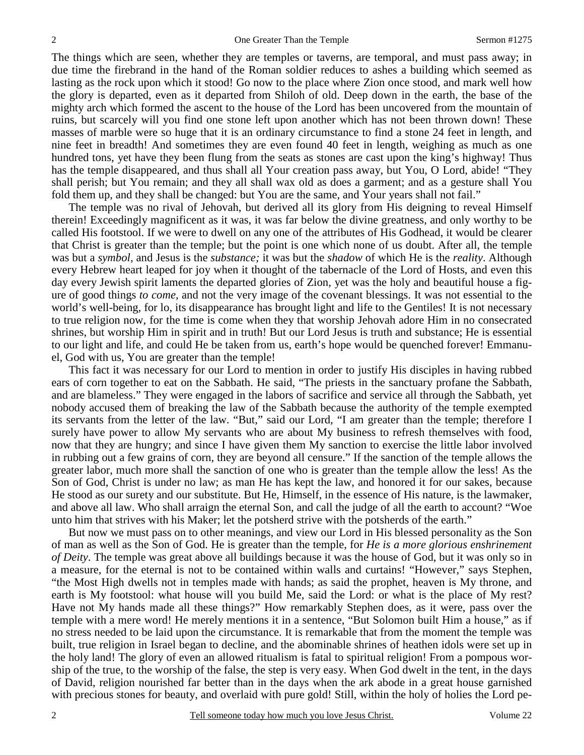The things which are seen, whether they are temples or taverns, are temporal, and must pass away; in due time the firebrand in the hand of the Roman soldier reduces to ashes a building which seemed as lasting as the rock upon which it stood! Go now to the place where Zion once stood, and mark well how the glory is departed, even as it departed from Shiloh of old. Deep down in the earth, the base of the mighty arch which formed the ascent to the house of the Lord has been uncovered from the mountain of ruins, but scarcely will you find one stone left upon another which has not been thrown down! These masses of marble were so huge that it is an ordinary circumstance to find a stone 24 feet in length, and nine feet in breadth! And sometimes they are even found 40 feet in length, weighing as much as one hundred tons, yet have they been flung from the seats as stones are cast upon the king's highway! Thus has the temple disappeared, and thus shall all Your creation pass away, but You, O Lord, abide! "They shall perish; but You remain; and they all shall wax old as does a garment; and as a gesture shall You fold them up, and they shall be changed: but You are the same, and Your years shall not fail."

The temple was no rival of Jehovah, but derived all its glory from His deigning to reveal Himself therein! Exceedingly magnificent as it was, it was far below the divine greatness, and only worthy to be called His footstool. If we were to dwell on any one of the attributes of His Godhead, it would be clearer that Christ is greater than the temple; but the point is one which none of us doubt. After all, the temple was but a *symbol,* and Jesus is the *substance;* it was but the *shadow* of which He is the *reality*. Although every Hebrew heart leaped for joy when it thought of the tabernacle of the Lord of Hosts, and even this day every Jewish spirit laments the departed glories of Zion, yet was the holy and beautiful house a figure of good things *to come,* and not the very image of the covenant blessings. It was not essential to the world's well-being, for lo, its disappearance has brought light and life to the Gentiles! It is not necessary to true religion now, for the time is come when they that worship Jehovah adore Him in no consecrated shrines, but worship Him in spirit and in truth! But our Lord Jesus is truth and substance; He is essential to our light and life, and could He be taken from us, earth's hope would be quenched forever! Emmanuel, God with us, You are greater than the temple!

This fact it was necessary for our Lord to mention in order to justify His disciples in having rubbed ears of corn together to eat on the Sabbath. He said, "The priests in the sanctuary profane the Sabbath, and are blameless." They were engaged in the labors of sacrifice and service all through the Sabbath, yet nobody accused them of breaking the law of the Sabbath because the authority of the temple exempted its servants from the letter of the law. "But," said our Lord, "I am greater than the temple; therefore I surely have power to allow My servants who are about My business to refresh themselves with food, now that they are hungry; and since I have given them My sanction to exercise the little labor involved in rubbing out a few grains of corn, they are beyond all censure." If the sanction of the temple allows the greater labor, much more shall the sanction of one who is greater than the temple allow the less! As the Son of God, Christ is under no law; as man He has kept the law, and honored it for our sakes, because He stood as our surety and our substitute. But He, Himself, in the essence of His nature, is the lawmaker, and above all law. Who shall arraign the eternal Son, and call the judge of all the earth to account? "Woe unto him that strives with his Maker; let the potsherd strive with the potsherds of the earth."

But now we must pass on to other meanings, and view our Lord in His blessed personality as the Son of man as well as the Son of God. He is greater than the temple, for *He is a more glorious enshrinement of Deity*. The temple was great above all buildings because it was the house of God, but it was only so in a measure, for the eternal is not to be contained within walls and curtains! "However," says Stephen, "the Most High dwells not in temples made with hands; as said the prophet, heaven is My throne, and earth is My footstool: what house will you build Me, said the Lord: or what is the place of My rest? Have not My hands made all these things?" How remarkably Stephen does, as it were, pass over the temple with a mere word! He merely mentions it in a sentence, "But Solomon built Him a house," as if no stress needed to be laid upon the circumstance. It is remarkable that from the moment the temple was built, true religion in Israel began to decline, and the abominable shrines of heathen idols were set up in the holy land! The glory of even an allowed ritualism is fatal to spiritual religion! From a pompous worship of the true, to the worship of the false, the step is very easy. When God dwelt in the tent, in the days of David, religion nourished far better than in the days when the ark abode in a great house garnished with precious stones for beauty, and overlaid with pure gold! Still, within the holy of holies the Lord pe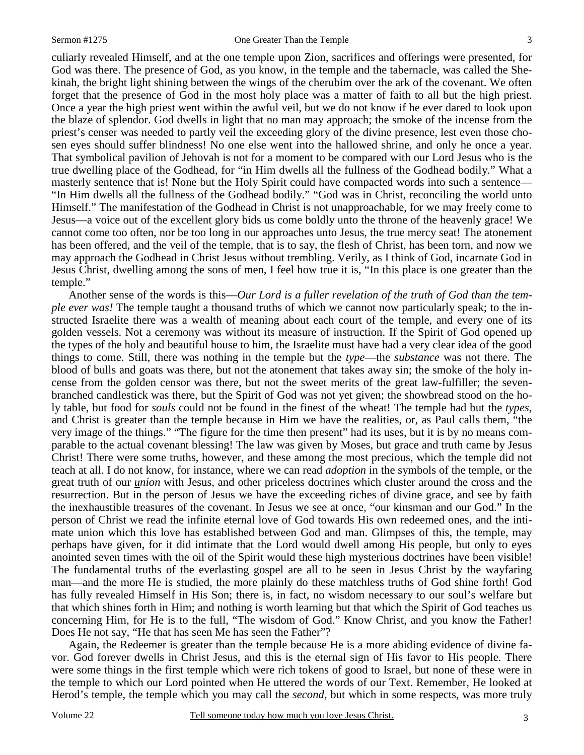culiarly revealed Himself, and at the one temple upon Zion, sacrifices and offerings were presented, for God was there. The presence of God, as you know, in the temple and the tabernacle, was called the Shekinah, the bright light shining between the wings of the cherubim over the ark of the covenant. We often forget that the presence of God in the most holy place was a matter of faith to all but the high priest. Once a year the high priest went within the awful veil, but we do not know if he ever dared to look upon the blaze of splendor. God dwells in light that no man may approach; the smoke of the incense from the priest's censer was needed to partly veil the exceeding glory of the divine presence, lest even those chosen eyes should suffer blindness! No one else went into the hallowed shrine, and only he once a year. That symbolical pavilion of Jehovah is not for a moment to be compared with our Lord Jesus who is the true dwelling place of the Godhead, for "in Him dwells all the fullness of the Godhead bodily." What a masterly sentence that is! None but the Holy Spirit could have compacted words into such a sentence— "In Him dwells all the fullness of the Godhead bodily." "God was in Christ, reconciling the world unto Himself." The manifestation of the Godhead in Christ is not unapproachable, for we may freely come to Jesus—a voice out of the excellent glory bids us come boldly unto the throne of the heavenly grace! We cannot come too often, nor be too long in our approaches unto Jesus, the true mercy seat! The atonement has been offered, and the veil of the temple, that is to say, the flesh of Christ, has been torn, and now we may approach the Godhead in Christ Jesus without trembling. Verily, as I think of God, incarnate God in Jesus Christ, dwelling among the sons of men, I feel how true it is, "In this place is one greater than the temple."

Another sense of the words is this—*Our Lord is a fuller revelation of the truth of God than the temple ever was!* The temple taught a thousand truths of which we cannot now particularly speak; to the instructed Israelite there was a wealth of meaning about each court of the temple, and every one of its golden vessels. Not a ceremony was without its measure of instruction. If the Spirit of God opened up the types of the holy and beautiful house to him, the Israelite must have had a very clear idea of the good things to come. Still, there was nothing in the temple but the *type*—the *substance* was not there. The blood of bulls and goats was there, but not the atonement that takes away sin; the smoke of the holy incense from the golden censor was there, but not the sweet merits of the great law-fulfiller; the sevenbranched candlestick was there, but the Spirit of God was not yet given; the showbread stood on the holy table, but food for *souls* could not be found in the finest of the wheat! The temple had but the *types,* and Christ is greater than the temple because in Him we have the realities, or, as Paul calls them, "the very image of the things." "The figure for the time then present" had its uses, but it is by no means comparable to the actual covenant blessing! The law was given by Moses, but grace and truth came by Jesus Christ! There were some truths, however, and these among the most precious, which the temple did not teach at all. I do not know, for instance, where we can read *adoption* in the symbols of the temple, or the great truth of our *union* with Jesus, and other priceless doctrines which cluster around the cross and the resurrection. But in the person of Jesus we have the exceeding riches of divine grace, and see by faith the inexhaustible treasures of the covenant. In Jesus we see at once, "our kinsman and our God." In the person of Christ we read the infinite eternal love of God towards His own redeemed ones, and the intimate union which this love has established between God and man. Glimpses of this, the temple, may perhaps have given, for it did intimate that the Lord would dwell among His people, but only to eyes anointed seven times with the oil of the Spirit would these high mysterious doctrines have been visible! The fundamental truths of the everlasting gospel are all to be seen in Jesus Christ by the wayfaring man—and the more He is studied, the more plainly do these matchless truths of God shine forth! God has fully revealed Himself in His Son; there is, in fact, no wisdom necessary to our soul's welfare but that which shines forth in Him; and nothing is worth learning but that which the Spirit of God teaches us concerning Him, for He is to the full, "The wisdom of God." Know Christ, and you know the Father! Does He not say, "He that has seen Me has seen the Father"?

Again, the Redeemer is greater than the temple because He is a more abiding evidence of divine favor. God forever dwells in Christ Jesus, and this is the eternal sign of His favor to His people. There were some things in the first temple which were rich tokens of good to Israel, but none of these were in the temple to which our Lord pointed when He uttered the words of our Text. Remember, He looked at Herod's temple, the temple which you may call the *second,* but which in some respects, was more truly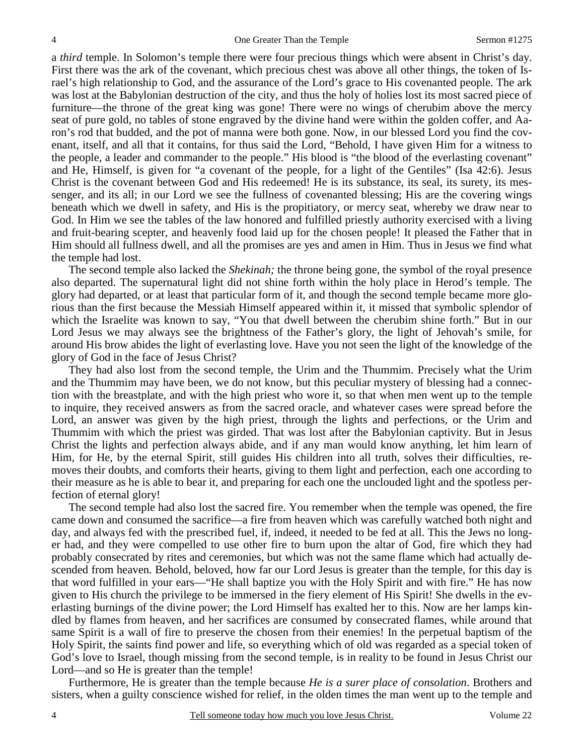a *third* temple. In Solomon's temple there were four precious things which were absent in Christ's day. First there was the ark of the covenant, which precious chest was above all other things, the token of Israel's high relationship to God, and the assurance of the Lord's grace to His covenanted people. The ark was lost at the Babylonian destruction of the city, and thus the holy of holies lost its most sacred piece of furniture—the throne of the great king was gone! There were no wings of cherubim above the mercy seat of pure gold, no tables of stone engraved by the divine hand were within the golden coffer, and Aaron's rod that budded, and the pot of manna were both gone. Now, in our blessed Lord you find the covenant, itself, and all that it contains, for thus said the Lord, "Behold, I have given Him for a witness to the people, a leader and commander to the people." His blood is "the blood of the everlasting covenant" and He, Himself, is given for "a covenant of the people, for a light of the Gentiles" (Isa 42:6). Jesus Christ is the covenant between God and His redeemed! He is its substance, its seal, its surety, its messenger, and its all; in our Lord we see the fullness of covenanted blessing; His are the covering wings beneath which we dwell in safety, and His is the propitiatory, or mercy seat, whereby we draw near to God. In Him we see the tables of the law honored and fulfilled priestly authority exercised with a living and fruit-bearing scepter, and heavenly food laid up for the chosen people! It pleased the Father that in Him should all fullness dwell, and all the promises are yes and amen in Him. Thus in Jesus we find what the temple had lost.

The second temple also lacked the *Shekinah;* the throne being gone, the symbol of the royal presence also departed. The supernatural light did not shine forth within the holy place in Herod's temple. The glory had departed, or at least that particular form of it, and though the second temple became more glorious than the first because the Messiah Himself appeared within it, it missed that symbolic splendor of which the Israelite was known to say, "You that dwell between the cherubim shine forth." But in our Lord Jesus we may always see the brightness of the Father's glory, the light of Jehovah's smile, for around His brow abides the light of everlasting love. Have you not seen the light of the knowledge of the glory of God in the face of Jesus Christ?

They had also lost from the second temple, the Urim and the Thummim. Precisely what the Urim and the Thummim may have been, we do not know, but this peculiar mystery of blessing had a connection with the breastplate, and with the high priest who wore it, so that when men went up to the temple to inquire, they received answers as from the sacred oracle, and whatever cases were spread before the Lord, an answer was given by the high priest, through the lights and perfections, or the Urim and Thummim with which the priest was girded. That was lost after the Babylonian captivity. But in Jesus Christ the lights and perfection always abide, and if any man would know anything, let him learn of Him, for He, by the eternal Spirit, still guides His children into all truth, solves their difficulties, removes their doubts, and comforts their hearts, giving to them light and perfection, each one according to their measure as he is able to bear it, and preparing for each one the unclouded light and the spotless perfection of eternal glory!

The second temple had also lost the sacred fire. You remember when the temple was opened, the fire came down and consumed the sacrifice—a fire from heaven which was carefully watched both night and day, and always fed with the prescribed fuel, if, indeed, it needed to be fed at all. This the Jews no longer had, and they were compelled to use other fire to burn upon the altar of God, fire which they had probably consecrated by rites and ceremonies, but which was not the same flame which had actually descended from heaven. Behold, beloved, how far our Lord Jesus is greater than the temple, for this day is that word fulfilled in your ears—"He shall baptize you with the Holy Spirit and with fire." He has now given to His church the privilege to be immersed in the fiery element of His Spirit! She dwells in the everlasting burnings of the divine power; the Lord Himself has exalted her to this. Now are her lamps kindled by flames from heaven, and her sacrifices are consumed by consecrated flames, while around that same Spirit is a wall of fire to preserve the chosen from their enemies! In the perpetual baptism of the Holy Spirit, the saints find power and life, so everything which of old was regarded as a special token of God's love to Israel, though missing from the second temple, is in reality to be found in Jesus Christ our Lord—and so He is greater than the temple!

Furthermore, He is greater than the temple because *He is a surer place of consolation*. Brothers and sisters, when a guilty conscience wished for relief, in the olden times the man went up to the temple and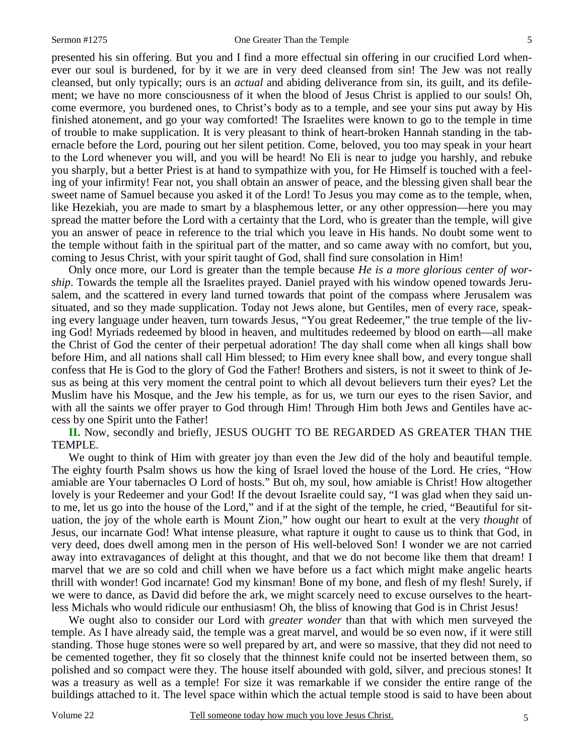presented his sin offering. But you and I find a more effectual sin offering in our crucified Lord whenever our soul is burdened, for by it we are in very deed cleansed from sin! The Jew was not really cleansed, but only typically; ours is an *actual* and abiding deliverance from sin, its guilt, and its defilement; we have no more consciousness of it when the blood of Jesus Christ is applied to our souls! Oh, come evermore, you burdened ones, to Christ's body as to a temple, and see your sins put away by His finished atonement, and go your way comforted! The Israelites were known to go to the temple in time of trouble to make supplication. It is very pleasant to think of heart-broken Hannah standing in the tabernacle before the Lord, pouring out her silent petition. Come, beloved, you too may speak in your heart to the Lord whenever you will, and you will be heard! No Eli is near to judge you harshly, and rebuke you sharply, but a better Priest is at hand to sympathize with you, for He Himself is touched with a feeling of your infirmity! Fear not, you shall obtain an answer of peace, and the blessing given shall bear the sweet name of Samuel because you asked it of the Lord! To Jesus you may come as to the temple, when, like Hezekiah, you are made to smart by a blasphemous letter, or any other oppression—here you may spread the matter before the Lord with a certainty that the Lord, who is greater than the temple, will give you an answer of peace in reference to the trial which you leave in His hands. No doubt some went to the temple without faith in the spiritual part of the matter, and so came away with no comfort, but you, coming to Jesus Christ, with your spirit taught of God, shall find sure consolation in Him!

Only once more, our Lord is greater than the temple because *He is a more glorious center of worship*. Towards the temple all the Israelites prayed. Daniel prayed with his window opened towards Jerusalem, and the scattered in every land turned towards that point of the compass where Jerusalem was situated, and so they made supplication. Today not Jews alone, but Gentiles, men of every race, speaking every language under heaven, turn towards Jesus, "You great Redeemer," the true temple of the living God! Myriads redeemed by blood in heaven, and multitudes redeemed by blood on earth—all make the Christ of God the center of their perpetual adoration! The day shall come when all kings shall bow before Him, and all nations shall call Him blessed; to Him every knee shall bow, and every tongue shall confess that He is God to the glory of God the Father! Brothers and sisters, is not it sweet to think of Jesus as being at this very moment the central point to which all devout believers turn their eyes? Let the Muslim have his Mosque, and the Jew his temple, as for us, we turn our eyes to the risen Savior, and with all the saints we offer prayer to God through Him! Through Him both Jews and Gentiles have access by one Spirit unto the Father!

**II.** Now, secondly and briefly, JESUS OUGHT TO BE REGARDED AS GREATER THAN THE TEMPLE.

We ought to think of Him with greater joy than even the Jew did of the holy and beautiful temple. The eighty fourth Psalm shows us how the king of Israel loved the house of the Lord. He cries, "How amiable are Your tabernacles O Lord of hosts." But oh, my soul, how amiable is Christ! How altogether lovely is your Redeemer and your God! If the devout Israelite could say, "I was glad when they said unto me, let us go into the house of the Lord," and if at the sight of the temple, he cried, "Beautiful for situation, the joy of the whole earth is Mount Zion," how ought our heart to exult at the very *thought* of Jesus, our incarnate God! What intense pleasure, what rapture it ought to cause us to think that God, in very deed, does dwell among men in the person of His well-beloved Son! I wonder we are not carried away into extravagances of delight at this thought, and that we do not become like them that dream! I marvel that we are so cold and chill when we have before us a fact which might make angelic hearts thrill with wonder! God incarnate! God my kinsman! Bone of my bone, and flesh of my flesh! Surely, if we were to dance, as David did before the ark, we might scarcely need to excuse ourselves to the heartless Michals who would ridicule our enthusiasm! Oh, the bliss of knowing that God is in Christ Jesus!

We ought also to consider our Lord with *greater wonder* than that with which men surveyed the temple. As I have already said, the temple was a great marvel, and would be so even now, if it were still standing. Those huge stones were so well prepared by art, and were so massive, that they did not need to be cemented together, they fit so closely that the thinnest knife could not be inserted between them, so polished and so compact were they. The house itself abounded with gold, silver, and precious stones! It was a treasury as well as a temple! For size it was remarkable if we consider the entire range of the buildings attached to it. The level space within which the actual temple stood is said to have been about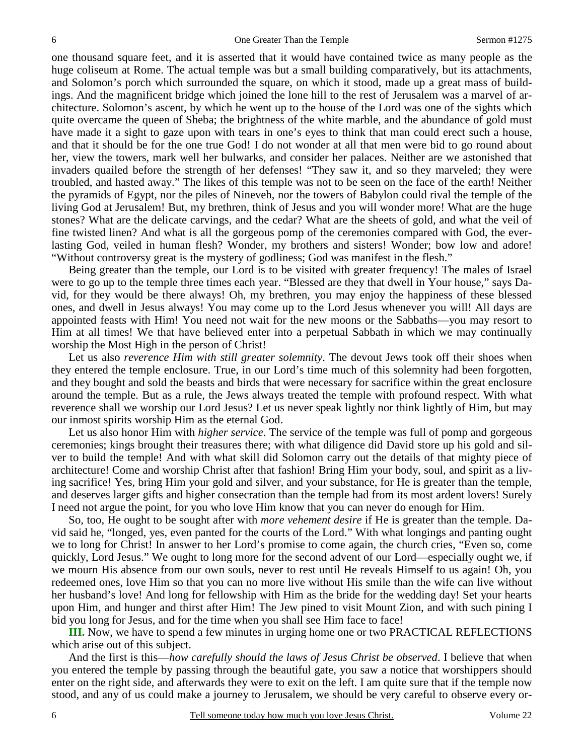one thousand square feet, and it is asserted that it would have contained twice as many people as the huge coliseum at Rome. The actual temple was but a small building comparatively, but its attachments, and Solomon's porch which surrounded the square, on which it stood, made up a great mass of buildings. And the magnificent bridge which joined the lone hill to the rest of Jerusalem was a marvel of architecture. Solomon's ascent, by which he went up to the house of the Lord was one of the sights which quite overcame the queen of Sheba; the brightness of the white marble, and the abundance of gold must have made it a sight to gaze upon with tears in one's eyes to think that man could erect such a house, and that it should be for the one true God! I do not wonder at all that men were bid to go round about her, view the towers, mark well her bulwarks, and consider her palaces. Neither are we astonished that invaders quailed before the strength of her defenses! "They saw it, and so they marveled; they were troubled, and hasted away." The likes of this temple was not to be seen on the face of the earth! Neither the pyramids of Egypt, nor the piles of Nineveh, nor the towers of Babylon could rival the temple of the living God at Jerusalem! But, my brethren, think of Jesus and you will wonder more! What are the huge stones? What are the delicate carvings, and the cedar? What are the sheets of gold, and what the veil of fine twisted linen? And what is all the gorgeous pomp of the ceremonies compared with God, the everlasting God, veiled in human flesh? Wonder, my brothers and sisters! Wonder; bow low and adore! "Without controversy great is the mystery of godliness; God was manifest in the flesh."

Being greater than the temple, our Lord is to be visited with greater frequency! The males of Israel were to go up to the temple three times each year. "Blessed are they that dwell in Your house," says David, for they would be there always! Oh, my brethren, you may enjoy the happiness of these blessed ones, and dwell in Jesus always! You may come up to the Lord Jesus whenever you will! All days are appointed feasts with Him! You need not wait for the new moons or the Sabbaths—you may resort to Him at all times! We that have believed enter into a perpetual Sabbath in which we may continually worship the Most High in the person of Christ!

Let us also *reverence Him with still greater solemnity*. The devout Jews took off their shoes when they entered the temple enclosure. True, in our Lord's time much of this solemnity had been forgotten, and they bought and sold the beasts and birds that were necessary for sacrifice within the great enclosure around the temple. But as a rule, the Jews always treated the temple with profound respect. With what reverence shall we worship our Lord Jesus? Let us never speak lightly nor think lightly of Him, but may our inmost spirits worship Him as the eternal God.

Let us also honor Him with *higher service*. The service of the temple was full of pomp and gorgeous ceremonies; kings brought their treasures there; with what diligence did David store up his gold and silver to build the temple! And with what skill did Solomon carry out the details of that mighty piece of architecture! Come and worship Christ after that fashion! Bring Him your body, soul, and spirit as a living sacrifice! Yes, bring Him your gold and silver, and your substance, for He is greater than the temple, and deserves larger gifts and higher consecration than the temple had from its most ardent lovers! Surely I need not argue the point, for you who love Him know that you can never do enough for Him.

So, too, He ought to be sought after with *more vehement desire* if He is greater than the temple. David said he, "longed, yes, even panted for the courts of the Lord." With what longings and panting ought we to long for Christ! In answer to her Lord's promise to come again, the church cries, "Even so, come quickly, Lord Jesus." We ought to long more for the second advent of our Lord—especially ought we, if we mourn His absence from our own souls, never to rest until He reveals Himself to us again! Oh, you redeemed ones, love Him so that you can no more live without His smile than the wife can live without her husband's love! And long for fellowship with Him as the bride for the wedding day! Set your hearts upon Him, and hunger and thirst after Him! The Jew pined to visit Mount Zion, and with such pining I bid you long for Jesus, and for the time when you shall see Him face to face!

**III.** Now, we have to spend a few minutes in urging home one or two PRACTICAL REFLECTIONS which arise out of this subject.

And the first is this—*how carefully should the laws of Jesus Christ be observed*. I believe that when you entered the temple by passing through the beautiful gate, you saw a notice that worshippers should enter on the right side, and afterwards they were to exit on the left. I am quite sure that if the temple now stood, and any of us could make a journey to Jerusalem, we should be very careful to observe every or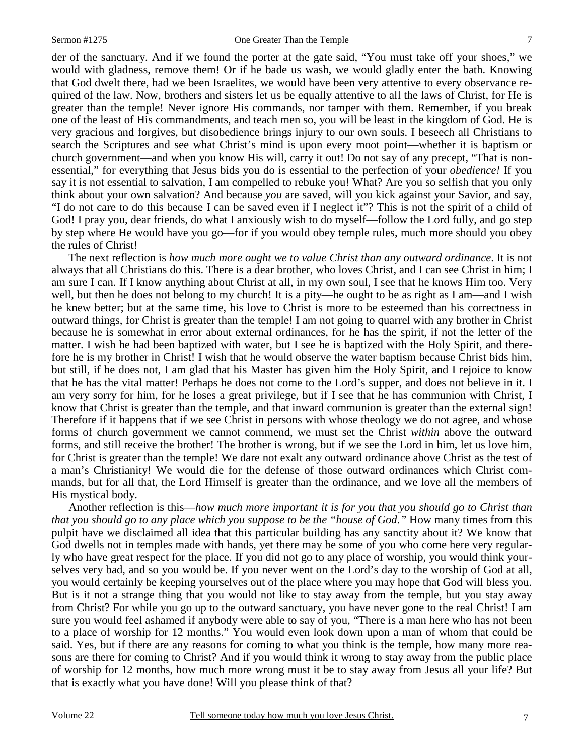der of the sanctuary. And if we found the porter at the gate said, "You must take off your shoes," we would with gladness, remove them! Or if he bade us wash, we would gladly enter the bath. Knowing that God dwelt there, had we been Israelites, we would have been very attentive to every observance required of the law. Now, brothers and sisters let us be equally attentive to all the laws of Christ, for He is greater than the temple! Never ignore His commands, nor tamper with them. Remember, if you break one of the least of His commandments, and teach men so, you will be least in the kingdom of God. He is very gracious and forgives, but disobedience brings injury to our own souls. I beseech all Christians to search the Scriptures and see what Christ's mind is upon every moot point—whether it is baptism or church government—and when you know His will, carry it out! Do not say of any precept, "That is nonessential," for everything that Jesus bids you do is essential to the perfection of your *obedience!* If you say it is not essential to salvation, I am compelled to rebuke you! What? Are you so selfish that you only think about your own salvation? And because *you* are saved, will you kick against your Savior, and say, "I do not care to do this because I can be saved even if I neglect it"? This is not the spirit of a child of God! I pray you, dear friends, do what I anxiously wish to do myself—follow the Lord fully, and go step by step where He would have you go—for if you would obey temple rules, much more should you obey the rules of Christ!

The next reflection is *how much more ought we to value Christ than any outward ordinance*. It is not always that all Christians do this. There is a dear brother, who loves Christ, and I can see Christ in him; I am sure I can. If I know anything about Christ at all, in my own soul, I see that he knows Him too. Very well, but then he does not belong to my church! It is a pity—he ought to be as right as I am—and I wish he knew better; but at the same time, his love to Christ is more to be esteemed than his correctness in outward things, for Christ is greater than the temple! I am not going to quarrel with any brother in Christ because he is somewhat in error about external ordinances, for he has the spirit, if not the letter of the matter. I wish he had been baptized with water, but I see he is baptized with the Holy Spirit, and therefore he is my brother in Christ! I wish that he would observe the water baptism because Christ bids him, but still, if he does not, I am glad that his Master has given him the Holy Spirit, and I rejoice to know that he has the vital matter! Perhaps he does not come to the Lord's supper, and does not believe in it. I am very sorry for him, for he loses a great privilege, but if I see that he has communion with Christ, I know that Christ is greater than the temple, and that inward communion is greater than the external sign! Therefore if it happens that if we see Christ in persons with whose theology we do not agree, and whose forms of church government we cannot commend, we must set the Christ *within* above the outward forms, and still receive the brother! The brother is wrong, but if we see the Lord in him, let us love him, for Christ is greater than the temple! We dare not exalt any outward ordinance above Christ as the test of a man's Christianity! We would die for the defense of those outward ordinances which Christ commands, but for all that, the Lord Himself is greater than the ordinance, and we love all the members of His mystical body.

Another reflection is this—*how much more important it is for you that you should go to Christ than that you should go to any place which you suppose to be the "house of God*.*"* How many times from this pulpit have we disclaimed all idea that this particular building has any sanctity about it? We know that God dwells not in temples made with hands, yet there may be some of you who come here very regularly who have great respect for the place. If you did not go to any place of worship, you would think yourselves very bad, and so you would be. If you never went on the Lord's day to the worship of God at all, you would certainly be keeping yourselves out of the place where you may hope that God will bless you. But is it not a strange thing that you would not like to stay away from the temple, but you stay away from Christ? For while you go up to the outward sanctuary, you have never gone to the real Christ! I am sure you would feel ashamed if anybody were able to say of you, "There is a man here who has not been to a place of worship for 12 months." You would even look down upon a man of whom that could be said. Yes, but if there are any reasons for coming to what you think is the temple, how many more reasons are there for coming to Christ? And if you would think it wrong to stay away from the public place of worship for 12 months, how much more wrong must it be to stay away from Jesus all your life? But that is exactly what you have done! Will you please think of that?